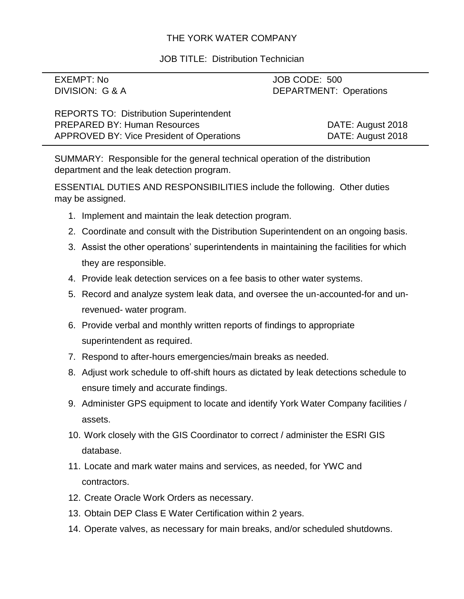## THE YORK WATER COMPANY

#### JOB TITLE: Distribution Technician

| EXEMPT: No                                       | JOB CODE: 500                 |
|--------------------------------------------------|-------------------------------|
| DIVISION: G & A                                  | <b>DEPARTMENT: Operations</b> |
|                                                  |                               |
| <b>REPORTS TO: Distribution Superintendent</b>   |                               |
| <b>PREPARED BY: Human Resources</b>              | DATE: August 2018             |
| <b>APPROVED BY: Vice President of Operations</b> | DATE: August 2018             |

SUMMARY: Responsible for the general technical operation of the distribution department and the leak detection program.

ESSENTIAL DUTIES AND RESPONSIBILITIES include the following. Other duties may be assigned.

- 1. Implement and maintain the leak detection program.
- 2. Coordinate and consult with the Distribution Superintendent on an ongoing basis.
- 3. Assist the other operations' superintendents in maintaining the facilities for which they are responsible.
- 4. Provide leak detection services on a fee basis to other water systems.
- 5. Record and analyze system leak data, and oversee the un-accounted-for and unrevenued- water program.
- 6. Provide verbal and monthly written reports of findings to appropriate superintendent as required.
- 7. Respond to after-hours emergencies/main breaks as needed.
- 8. Adjust work schedule to off-shift hours as dictated by leak detections schedule to ensure timely and accurate findings.
- 9. Administer GPS equipment to locate and identify York Water Company facilities / assets.
- 10. Work closely with the GIS Coordinator to correct / administer the ESRI GIS database.
- 11. Locate and mark water mains and services, as needed, for YWC and contractors.
- 12. Create Oracle Work Orders as necessary.
- 13. Obtain DEP Class E Water Certification within 2 years.
- 14. Operate valves, as necessary for main breaks, and/or scheduled shutdowns.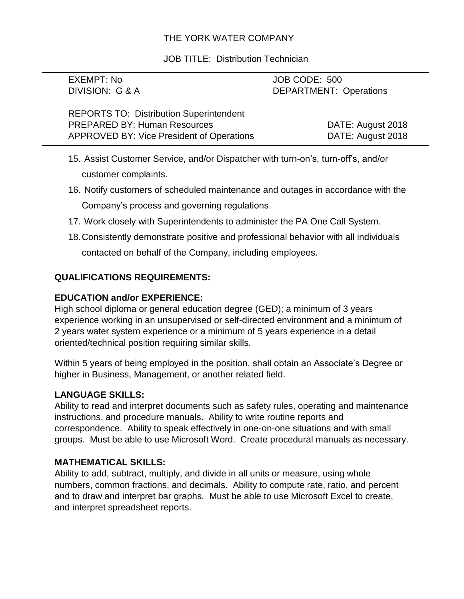## THE YORK WATER COMPANY

#### JOB TITLE: Distribution Technician

| EXEMPT: No                              | JOB CODE: 500                 |
|-----------------------------------------|-------------------------------|
| DIVISION: G & A                         | <b>DEPARTMENT: Operations</b> |
| REPORTS TO: Distribution Superintendent |                               |

| <b>REPORTS TO: Distribution Superintendent</b>   |                   |
|--------------------------------------------------|-------------------|
| <b>PREPARED BY: Human Resources</b>              | DATE: August 2018 |
| <b>APPROVED BY: Vice President of Operations</b> | DATE: August 2018 |

- 15. Assist Customer Service, and/or Dispatcher with turn-on's, turn-off's, and/or customer complaints.
- 16. Notify customers of scheduled maintenance and outages in accordance with the Company's process and governing regulations.
- 17. Work closely with Superintendents to administer the PA One Call System.
- 18.Consistently demonstrate positive and professional behavior with all individuals contacted on behalf of the Company, including employees.

# **QUALIFICATIONS REQUIREMENTS:**

# **EDUCATION and/or EXPERIENCE:**

High school diploma or general education degree (GED); a minimum of 3 years experience working in an unsupervised or self-directed environment and a minimum of 2 years water system experience or a minimum of 5 years experience in a detail oriented/technical position requiring similar skills.

Within 5 years of being employed in the position, shall obtain an Associate's Degree or higher in Business, Management, or another related field.

## **LANGUAGE SKILLS:**

Ability to read and interpret documents such as safety rules, operating and maintenance instructions, and procedure manuals. Ability to write routine reports and correspondence. Ability to speak effectively in one-on-one situations and with small groups. Must be able to use Microsoft Word. Create procedural manuals as necessary.

## **MATHEMATICAL SKILLS:**

Ability to add, subtract, multiply, and divide in all units or measure, using whole numbers, common fractions, and decimals. Ability to compute rate, ratio, and percent and to draw and interpret bar graphs. Must be able to use Microsoft Excel to create, and interpret spreadsheet reports.